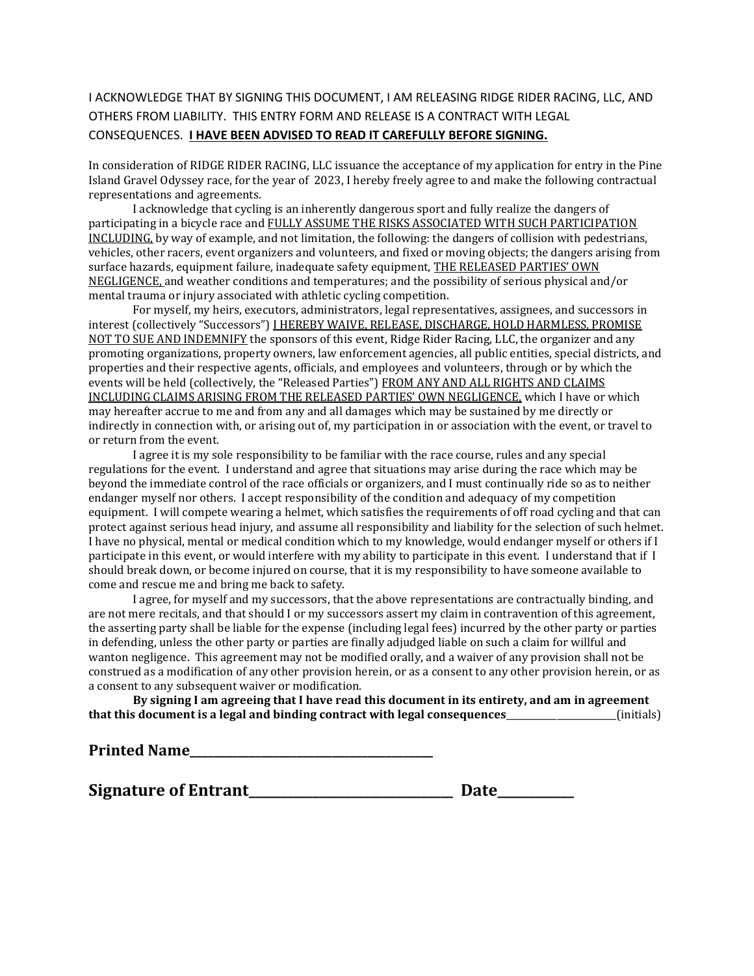## I ACKNOWLEDGE THAT BY SIGNING THIS DOCUMENT, I AM RELEASING RIDGE RIDER RACING, LLC, AND OTHERS FROM LIABILITY. THIS ENTRY FORM AND RELEASE IS A CONTRACT WITH LEGAL CONSEQUENCES. **I HAVE BEEN ADVISED TO READ IT CAREFULLY BEFORE SIGNING.**

In consideration of RIDGE RIDER RACING, LLC issuance the acceptance of my application for entry in the Pine Island Gravel Odyssey race, for the year of 2023, I hereby freely agree to and make the following contractual representations and agreements.

I acknowledge that cycling is an inherently dangerous sport and fully realize the dangers of participating in a bicycle race and FULLY ASSUME THE RISKS ASSOCIATED WITH SUCH PARTICIPATION INCLUDING, by way of example, and not limitation, the following: the dangers of collision with pedestrians, vehicles, other racers, event organizers and volunteers, and fixed or moving objects; the dangers arising from surface hazards, equipment failure, inadequate safety equipment, THE RELEASED PARTIES' OWN NEGLIGENCE, and weather conditions and temperatures; and the possibility of serious physical and/or mental trauma or injury associated with athletic cycling competition.

For myself, my heirs, executors, administrators, legal representatives, assignees, and successors in interest (collectively "Successors") I HEREBY WAIVE, RELEASE, DISCHARGE, HOLD HARMLESS, PROMISE NOT TO SUE AND INDEMNIFY the sponsors of this event, Ridge Rider Racing, LLC, the organizer and any promoting organizations, property owners, law enforcement agencies, all public entities, special districts, and properties and their respective agents, officials, and employees and volunteers, through or by which the events will be held (collectively, the "Released Parties") FROM ANY AND ALL RIGHTS AND CLAIMS INCLUDING CLAIMS ARISING FROM THE RELEASED PARTIES' OWN NEGLIGENCE, which I have or which may hereafter accrue to me and from any and all damages which may be sustained by me directly or indirectly in connection with, or arising out of, my participation in or association with the event, or travel to or return from the event.

I agree it is my sole responsibility to be familiar with the race course, rules and any special regulations for the event. I understand and agree that situations may arise during the race which may be beyond the immediate control of the race officials or organizers, and I must continually ride so as to neither endanger myself nor others. I accept responsibility of the condition and adequacy of my competition equipment. I will compete wearing a helmet, which satisfies the requirements of off road cycling and that can protect against serious head injury, and assume all responsibility and liability for the selection of such helmet. I have no physical, mental or medical condition which to my knowledge, would endanger myself or others if I participate in this event, or would interfere with my ability to participate in this event. I understand that if I should break down, or become injured on course, that it is my responsibility to have someone available to come and rescue me and bring me back to safety.

I agree, for myself and my successors, that the above representations are contractually binding, and are not mere recitals, and that should I or my successors assert my claim in contravention of this agreement, the asserting party shall be liable for the expense (including legal fees) incurred by the other party or parties in defending, unless the other party or parties are finally adjudged liable on such a claim for willful and wanton negligence. This agreement may not be modified orally, and a waiver of any provision shall not be construed as a modification of any other provision herein, or as a consent to any other provision herein, or as a consent to any subsequent waiver or modification.

**By signing I am agreeing that I have read this document in its entirety, and am in agreement that this document is a legal and binding contract with legal consequences**\_\_\_\_\_\_\_\_\_\_\_\_\_\_\_\_\_\_\_\_\_\_\_\_(initials)

**Printed Name** 

**Signature of Entrant\_\_\_\_\_\_\_\_\_\_\_\_\_\_\_\_\_\_\_\_\_\_\_\_\_\_\_\_\_\_\_\_ Date\_\_\_\_\_\_\_\_\_\_\_\_**

| Date |  |  |  |  |  |
|------|--|--|--|--|--|
|      |  |  |  |  |  |